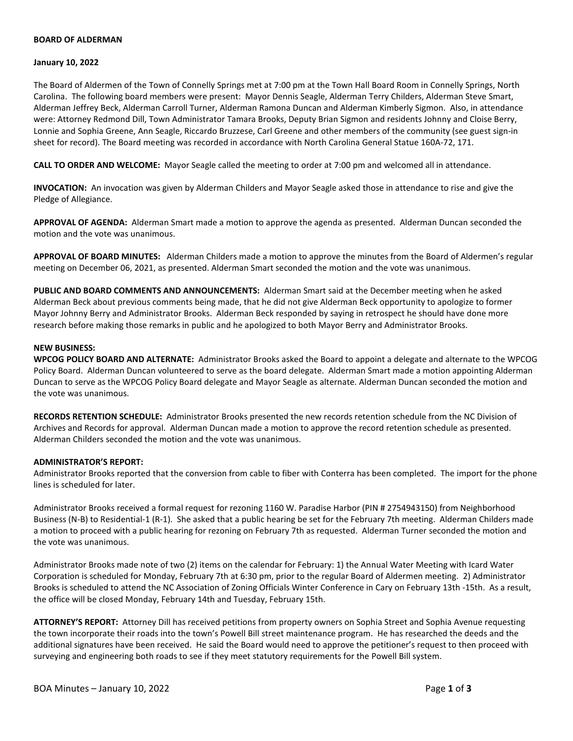# **BOARD OF ALDERMAN**

### **January 10, 2022**

The Board of Aldermen of the Town of Connelly Springs met at 7:00 pm at the Town Hall Board Room in Connelly Springs, North Carolina. The following board members were present: Mayor Dennis Seagle, Alderman Terry Childers, Alderman Steve Smart, Alderman Jeffrey Beck, Alderman Carroll Turner, Alderman Ramona Duncan and Alderman Kimberly Sigmon. Also, in attendance were: Attorney Redmond Dill, Town Administrator Tamara Brooks, Deputy Brian Sigmon and residents Johnny and Cloise Berry, Lonnie and Sophia Greene, Ann Seagle, Riccardo Bruzzese, Carl Greene and other members of the community (see guest sign-in sheet for record). The Board meeting was recorded in accordance with North Carolina General Statue 160A-72, 171.

**CALL TO ORDER AND WELCOME:** Mayor Seagle called the meeting to order at 7:00 pm and welcomed all in attendance.

**INVOCATION:** An invocation was given by Alderman Childers and Mayor Seagle asked those in attendance to rise and give the Pledge of Allegiance.

**APPROVAL OF AGENDA:** Alderman Smart made a motion to approve the agenda as presented. Alderman Duncan seconded the motion and the vote was unanimous.

**APPROVAL OF BOARD MINUTES:** Alderman Childers made a motion to approve the minutes from the Board of Aldermen's regular meeting on December 06, 2021, as presented. Alderman Smart seconded the motion and the vote was unanimous.

**PUBLIC AND BOARD COMMENTS AND ANNOUNCEMENTS:** Alderman Smart said at the December meeting when he asked Alderman Beck about previous comments being made, that he did not give Alderman Beck opportunity to apologize to former Mayor Johnny Berry and Administrator Brooks. Alderman Beck responded by saying in retrospect he should have done more research before making those remarks in public and he apologized to both Mayor Berry and Administrator Brooks.

#### **NEW BUSINESS:**

**WPCOG POLICY BOARD AND ALTERNATE:** Administrator Brooks asked the Board to appoint a delegate and alternate to the WPCOG Policy Board. Alderman Duncan volunteered to serve as the board delegate. Alderman Smart made a motion appointing Alderman Duncan to serve as the WPCOG Policy Board delegate and Mayor Seagle as alternate. Alderman Duncan seconded the motion and the vote was unanimous.

**RECORDS RETENTION SCHEDULE:** Administrator Brooks presented the new records retention schedule from the NC Division of Archives and Records for approval. Alderman Duncan made a motion to approve the record retention schedule as presented. Alderman Childers seconded the motion and the vote was unanimous.

### **ADMINISTRATOR'S REPORT:**

Administrator Brooks reported that the conversion from cable to fiber with Conterra has been completed. The import for the phone lines is scheduled for later.

Administrator Brooks received a formal request for rezoning 1160 W. Paradise Harbor (PIN # 2754943150) from Neighborhood Business (N-B) to Residential-1 (R-1). She asked that a public hearing be set for the February 7th meeting. Alderman Childers made a motion to proceed with a public hearing for rezoning on February 7th as requested. Alderman Turner seconded the motion and the vote was unanimous.

Administrator Brooks made note of two (2) items on the calendar for February: 1) the Annual Water Meeting with Icard Water Corporation is scheduled for Monday, February 7th at 6:30 pm, prior to the regular Board of Aldermen meeting. 2) Administrator Brooks is scheduled to attend the NC Association of Zoning Officials Winter Conference in Cary on February 13th -15th. As a result, the office will be closed Monday, February 14th and Tuesday, February 15th.

**ATTORNEY'S REPORT:** Attorney Dill has received petitions from property owners on Sophia Street and Sophia Avenue requesting the town incorporate their roads into the town's Powell Bill street maintenance program. He has researched the deeds and the additional signatures have been received. He said the Board would need to approve the petitioner's request to then proceed with surveying and engineering both roads to see if they meet statutory requirements for the Powell Bill system.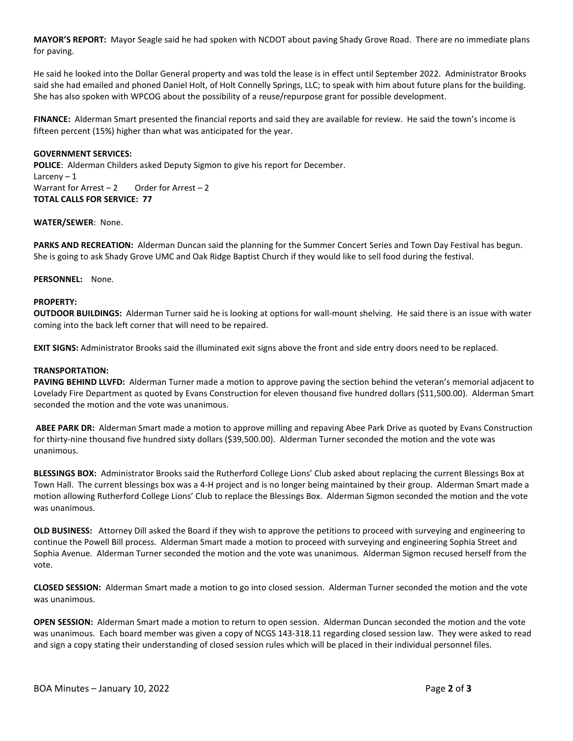**MAYOR'S REPORT:** Mayor Seagle said he had spoken with NCDOT about paving Shady Grove Road. There are no immediate plans for paving.

He said he looked into the Dollar General property and was told the lease is in effect until September 2022. Administrator Brooks said she had emailed and phoned Daniel Holt, of Holt Connelly Springs, LLC; to speak with him about future plans for the building. She has also spoken with WPCOG about the possibility of a reuse/repurpose grant for possible development.

**FINANCE:** Alderman Smart presented the financial reports and said they are available for review. He said the town's income is fifteen percent (15%) higher than what was anticipated for the year.

# **GOVERNMENT SERVICES:**

**POLICE**: Alderman Childers asked Deputy Sigmon to give his report for December. Larceny  $-1$ Warrant for Arrest  $-2$  Order for Arrest  $-2$ **TOTAL CALLS FOR SERVICE: 77**

# **WATER/SEWER**: None.

**PARKS AND RECREATION:** Alderman Duncan said the planning for the Summer Concert Series and Town Day Festival has begun. She is going to ask Shady Grove UMC and Oak Ridge Baptist Church if they would like to sell food during the festival.

# **PERSONNEL:** None.

#### **PROPERTY:**

**OUTDOOR BUILDINGS:** Alderman Turner said he is looking at options for wall-mount shelving. He said there is an issue with water coming into the back left corner that will need to be repaired.

**EXIT SIGNS:** Administrator Brooks said the illuminated exit signs above the front and side entry doors need to be replaced.

## **TRANSPORTATION:**

**PAVING BEHIND LLVFD:** Alderman Turner made a motion to approve paving the section behind the veteran's memorial adjacent to Lovelady Fire Department as quoted by Evans Construction for eleven thousand five hundred dollars (\$11,500.00). Alderman Smart seconded the motion and the vote was unanimous.

**ABEE PARK DR:** Alderman Smart made a motion to approve milling and repaving Abee Park Drive as quoted by Evans Construction for thirty-nine thousand five hundred sixty dollars (\$39,500.00). Alderman Turner seconded the motion and the vote was unanimous.

**BLESSINGS BOX:** Administrator Brooks said the Rutherford College Lions' Club asked about replacing the current Blessings Box at Town Hall. The current blessings box was a 4-H project and is no longer being maintained by their group. Alderman Smart made a motion allowing Rutherford College Lions' Club to replace the Blessings Box. Alderman Sigmon seconded the motion and the vote was unanimous.

**OLD BUSINESS:** Attorney Dill asked the Board if they wish to approve the petitions to proceed with surveying and engineering to continue the Powell Bill process. Alderman Smart made a motion to proceed with surveying and engineering Sophia Street and Sophia Avenue. Alderman Turner seconded the motion and the vote was unanimous. Alderman Sigmon recused herself from the vote.

**CLOSED SESSION:** Alderman Smart made a motion to go into closed session. Alderman Turner seconded the motion and the vote was unanimous.

**OPEN SESSION:** Alderman Smart made a motion to return to open session. Alderman Duncan seconded the motion and the vote was unanimous. Each board member was given a copy of NCGS 143-318.11 regarding closed session law. They were asked to read and sign a copy stating their understanding of closed session rules which will be placed in their individual personnel files.